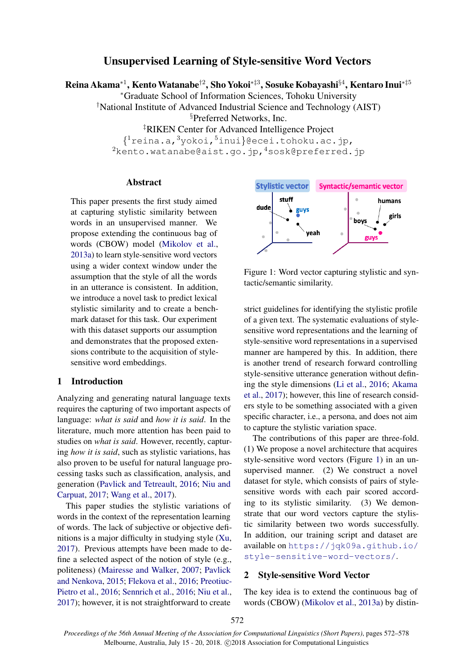# Unsupervised Learning of Style-sensitive Word Vectors

Reina Akama\*<sup>1</sup>, Kento Watanabe<sup>†2</sup>, Sho Yokoi\*‡3, Sosuke Kobayashi§<sup>4</sup>, Kentaro Inui\*‡<sup>5</sup>

<sup>∗</sup>Graduate School of Information Sciences, Tohoku University

†National Institute of Advanced Industrial Science and Technology (AIST)

§Preferred Networks, Inc.

‡RIKEN Center for Advanced Intelligence Project

{ <sup>1</sup>reina.a,<sup>3</sup>yokoi,<sup>5</sup>inui}@ecei.tohoku.ac.jp, 2kento.watanabe@aist.go.jp, 4sosk@preferred.jp

#### Abstract

This paper presents the first study aimed at capturing stylistic similarity between words in an unsupervised manner. We propose extending the continuous bag of words (CBOW) model [\(Mikolov et al.,](#page-5-0) [2013a\)](#page-5-0) to learn style-sensitive word vectors using a wider context window under the assumption that the style of all the words in an utterance is consistent. In addition, we introduce a novel task to predict lexical stylistic similarity and to create a benchmark dataset for this task. Our experiment with this dataset supports our assumption and demonstrates that the proposed extensions contribute to the acquisition of stylesensitive word embeddings.

## 1 Introduction

Analyzing and generating natural language texts requires the capturing of two important aspects of language: *what is said* and *how it is said*. In the literature, much more attention has been paid to studies on *what is said*. However, recently, capturing *how it is said*, such as stylistic variations, has also proven to be useful for natural language processing tasks such as classification, analysis, and generation [\(Pavlick and Tetreault,](#page-5-1) [2016;](#page-5-1) [Niu and](#page-5-2) [Carpuat,](#page-5-2) [2017;](#page-5-2) [Wang et al.,](#page-5-3) [2017\)](#page-5-3).

This paper studies the stylistic variations of words in the context of the representation learning of words. The lack of subjective or objective definitions is a major difficulty in studying style [\(Xu,](#page-6-0) [2017\)](#page-6-0). Previous attempts have been made to define a selected aspect of the notion of style (e.g., politeness) [\(Mairesse and Walker,](#page-5-4) [2007;](#page-5-4) [Pavlick](#page-5-5) [and Nenkova,](#page-5-5) [2015;](#page-5-5) [Flekova et al.,](#page-5-6) [2016;](#page-5-6) [Preotiuc-](#page-5-7)[Pietro et al.,](#page-5-7) [2016;](#page-5-7) [Sennrich et al.,](#page-5-8) [2016;](#page-5-8) [Niu et al.,](#page-5-9) [2017\)](#page-5-9); however, it is not straightforward to create



<span id="page-0-0"></span>Figure 1: Word vector capturing stylistic and syntactic/semantic similarity.

strict guidelines for identifying the stylistic profile of a given text. The systematic evaluations of stylesensitive word representations and the learning of style-sensitive word representations in a supervised manner are hampered by this. In addition, there is another trend of research forward controlling style-sensitive utterance generation without defining the style dimensions [\(Li et al.,](#page-5-10) [2016;](#page-5-10) [Akama](#page-5-11) [et al.,](#page-5-11) [2017\)](#page-5-11); however, this line of research considers style to be something associated with a given specific character, i.e., a persona, and does not aim to capture the stylistic variation space.

The contributions of this paper are three-fold. (1) We propose a novel architecture that acquires style-sensitive word vectors (Figure [1\)](#page-0-0) in an unsupervised manner. (2) We construct a novel dataset for style, which consists of pairs of stylesensitive words with each pair scored according to its stylistic similarity. (3) We demonstrate that our word vectors capture the stylistic similarity between two words successfully. In addition, our training script and dataset are available on [https://jqk09a.github.io/](https://jqk09a.github.io/style-sensitive-word-vectors/) [style-sensitive-word-vectors/](https://jqk09a.github.io/style-sensitive-word-vectors/).

## 2 Style-sensitive Word Vector

The key idea is to extend the continuous bag of words (CBOW) [\(Mikolov et al.,](#page-5-0) [2013a\)](#page-5-0) by distin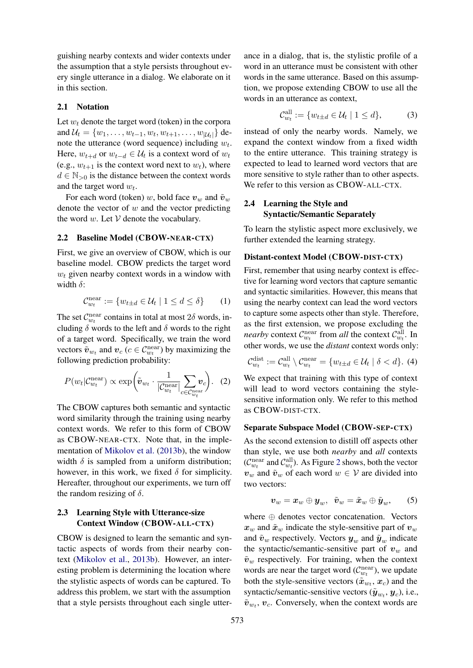guishing nearby contexts and wider contexts under the assumption that a style persists throughout every single utterance in a dialog. We elaborate on it in this section.

#### 2.1 Notation

Let  $w_t$  denote the target word (token) in the corpora and  $\mathcal{U}_t = \{w_1, \dots, w_{t-1}, w_t, w_{t+1}, \dots, w_{|\mathcal{U}_t|}\}$  denote the utterance (word sequence) including  $w_t$ . Here,  $w_{t+d}$  or  $w_{t-d} \in \mathcal{U}_t$  is a context word of  $w_t$ (e.g.,  $w_{t+1}$  is the context word next to  $w_t$ ), where  $d \in \mathbb{N}_{>0}$  is the distance between the context words and the target word  $w_t$ .

For each word (token) w, bold face  $v_w$  and  $\tilde{v}_w$ denote the vector of  $w$  and the vector predicting the word  $w$ . Let  $V$  denote the vocabulary.

## 2.2 Baseline Model (CBOW-NEAR-CTX)

First, we give an overview of CBOW, which is our baseline model. CBOW predicts the target word  $w_t$  given nearby context words in a window with width  $\delta$ :

$$
\mathcal{C}_{w_t}^{\text{near}} := \{ w_{t \pm d} \in \mathcal{U}_t \mid 1 \le d \le \delta \} \qquad (1)
$$

The set  $\mathcal{C}_{w_t}^{\text{near}}$  contains in total at most  $2\delta$  words, including  $\delta$  words to the left and  $\delta$  words to the right of a target word. Specifically, we train the word vectors  $\tilde{\boldsymbol{v}}_{w_t}$  and  $\boldsymbol{v}_c$  ( $c \in \mathcal{C}_{w_t}^{\text{near}}$ ) by maximizing the following prediction probability:

$$
P(w_t|\mathcal{C}_{w_t}^{\text{near}}) \propto \exp\left(\tilde{\boldsymbol{v}}_{w_t} \cdot \frac{1}{|\mathcal{C}_{w_t}^{\text{near}}|} \sum_{c \in \mathcal{C}_{w_t}^{\text{near}}}\boldsymbol{v}_c\right). \tag{2}
$$

The CBOW captures both semantic and syntactic word similarity through the training using nearby context words. We refer to this form of CBOW as CBOW-NEAR-CTX. Note that, in the implementation of [Mikolov et al.](#page-5-12) [\(2013b\)](#page-5-12), the window width  $\delta$  is sampled from a uniform distribution; however, in this work, we fixed  $\delta$  for simplicity. Hereafter, throughout our experiments, we turn off the random resizing of  $\delta$ .

## 2.3 Learning Style with Utterance-size Context Window (CBOW-ALL-CTX)

CBOW is designed to learn the semantic and syntactic aspects of words from their nearby context [\(Mikolov et al.,](#page-5-12) [2013b\)](#page-5-12). However, an interesting problem is determining the location where the stylistic aspects of words can be captured. To address this problem, we start with the assumption that a style persists throughout each single utter-

ance in a dialog, that is, the stylistic profile of a word in an utterance must be consistent with other words in the same utterance. Based on this assumption, we propose extending CBOW to use all the words in an utterance as context,

$$
\mathcal{C}_{w_t}^{\text{all}} := \{ w_{t \pm d} \in \mathcal{U}_t \mid 1 \le d \},\tag{3}
$$

instead of only the nearby words. Namely, we expand the context window from a fixed width to the entire utterance. This training strategy is expected to lead to learned word vectors that are more sensitive to style rather than to other aspects. We refer to this version as CBOW-ALL-CTX.

## 2.4 Learning the Style and Syntactic/Semantic Separately

all

To learn the stylistic aspect more exclusively, we further extended the learning strategy.

### Distant-context Model (CBOW-DIST-CTX)

First, remember that using nearby context is effective for learning word vectors that capture semantic and syntactic similarities. However, this means that using the nearby context can lead the word vectors to capture some aspects other than style. Therefore, as the first extension, we propose excluding the *nearby* context  $C_{w_t}^{\text{near}}$  from *all* the context  $C_{w_t}^{\text{all}}$ . In other words, we use the *distant* context words only:

$$
\mathcal{C}_{w_t}^{\text{dist}} := \mathcal{C}_{w_t}^{\text{all}} \setminus \mathcal{C}_{w_t}^{\text{near}} = \{w_{t \pm d} \in \mathcal{U}_t \mid \delta < d\}. \tag{4}
$$

We expect that training with this type of context will lead to word vectors containing the stylesensitive information only. We refer to this method as CBOW-DIST-CTX.

#### Separate Subspace Model (CBOW-SEP-CTX)

As the second extension to distill off aspects other than style, we use both *nearby* and *all* contexts ( $C_{w_t}^{\text{near}}$  and  $C_{w_t}^{\text{all}}$ ). As Figure [2](#page-2-0) shows, both the vector  $v_w$  and  $\tilde{v}_w$  of each word  $w \in V$  are divided into two vectors:

$$
\boldsymbol{v}_w = \boldsymbol{x}_w \oplus \boldsymbol{y}_w, \ \ \tilde{\boldsymbol{v}}_w = \tilde{\boldsymbol{x}}_w \oplus \tilde{\boldsymbol{y}}_w, \qquad (5)
$$

where ⊕ denotes vector concatenation. Vectors  $x_w$  and  $\tilde{x}_w$  indicate the style-sensitive part of  $v_w$ and  $\tilde{\mathbf{v}}_w$  respectively. Vectors  $\mathbf{y}_w$  and  $\tilde{\mathbf{y}}_w$  indicate the syntactic/semantic-sensitive part of  $v_w$  and  $\tilde{v}_w$  respectively. For training, when the context words are near the target word ( $\mathcal{C}_{w_t}^{\text{near}}$ ), we update both the style-sensitive vectors  $(\tilde{x}_{w_t}, x_c)$  and the syntactic/semantic-sensitive vectors  $(\tilde{\bm{y}}_{w_t}, \bm{y}_c)$ , i.e.,  $\tilde{\mathbf{v}}_{w_t}, \mathbf{v}_c$ . Conversely, when the context words are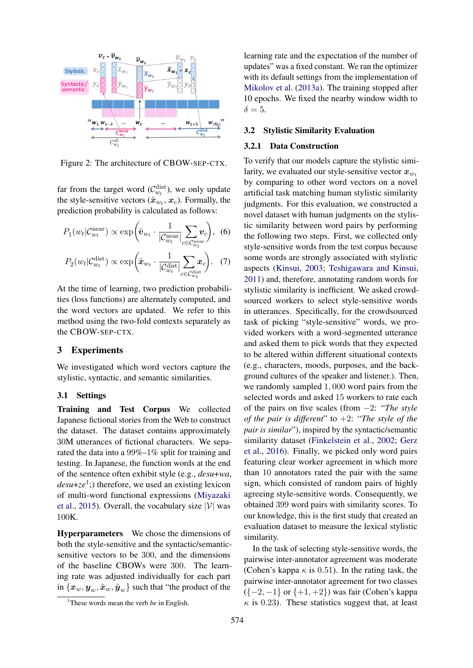

<span id="page-2-0"></span>Figure 2: The architecture of CBOW-SEP-CTX.

far from the target word  $(\mathcal{C}_{w_t}^{\text{dist}})$ , we only update the style-sensitive vectors  $(\tilde{x}_{w_t}, x_c)$ . Formally, the prediction probability is calculated as follows:

$$
P_1(w_t|\mathcal{C}_{w_t}^{\text{near}}) \propto \exp\bigg(\tilde{\boldsymbol{v}}_{w_t} \cdot \frac{1}{|\mathcal{C}_{w_t}^{\text{near}}|} \sum_{c \in \mathcal{C}_{w_t}^{\text{near}}}\boldsymbol{v}_c\bigg), \tag{6}
$$

$$
P_2(w_t|\mathcal{C}_{w_t}^{\text{dist}}) \propto \exp\left(\tilde{x}_{w_t} \cdot \frac{1}{|\mathcal{C}_{w_t}^{\text{dist}}|} \sum_{c \in \mathcal{C}_{w_t}^{\text{dist}}}\mathbf{x}_c\right). \quad (7)
$$

At the time of learning, two prediction probabilities (loss functions) are alternately computed, and the word vectors are updated. We refer to this method using the two-fold contexts separately as the CBOW-SEP-CTX.

#### 3 Experiments

We investigated which word vectors capture the stylistic, syntactic, and semantic similarities.

#### 3.1 Settings

Training and Test Corpus We collected Japanese fictional stories from the Web to construct the dataset. The dataset contains approximately 30M utterances of fictional characters. We separated the data into a 99%–1% split for training and testing. In Japanese, the function words at the end of the sentence often exhibit style (e.g., *desu*+*wa*, *desu*+*ze*[1](#page-2-1) ;) therefore, we used an existing lexicon of multi-word functional expressions [\(Miyazaki](#page-5-13) [et al.,](#page-5-13) [2015\)](#page-5-13). Overall, the vocabulary size  $|V|$  was 100K.

Hyperparameters We chose the dimensions of both the style-sensitive and the syntactic/semanticsensitive vectors to be 300, and the dimensions of the baseline CBOWs were 300. The learning rate was adjusted individually for each part in  $\{\boldsymbol{x}_w, \boldsymbol{y}_w, \tilde{\boldsymbol{x}}_w, \tilde{\boldsymbol{y}}_w\}$  such that "the product of the

learning rate and the expectation of the number of updates" was a fixed constant. We ran the optimizer with its default settings from the implementation of [Mikolov et al.](#page-5-0) [\(2013a\)](#page-5-0). The training stopped after 10 epochs. We fixed the nearby window width to  $\delta = 5$ .

#### 3.2 Stylistic Similarity Evaluation

#### 3.2.1 Data Construction

To verify that our models capture the stylistic similarity, we evaluated our style-sensitive vector  $x_{w_t}$ by comparing to other word vectors on a novel artificial task matching human stylistic similarity judgments. For this evaluation, we constructed a novel dataset with human judgments on the stylistic similarity between word pairs by performing the following two steps. First, we collected only style-sensitive words from the test corpus because some words are strongly associated with stylistic aspects [\(Kinsui,](#page-5-14) [2003;](#page-5-14) [Teshigawara and Kinsui,](#page-5-15) [2011\)](#page-5-15) and, therefore, annotating random words for stylistic similarity is inefficient. We asked crowdsourced workers to select style-sensitive words in utterances. Specifically, for the crowdsourced task of picking "style-sensitive" words, we provided workers with a word-segmented utterance and asked them to pick words that they expected to be altered within different situational contexts (e.g., characters, moods, purposes, and the background cultures of the speaker and listener.). Then, we randomly sampled 1, 000 word pairs from the selected words and asked 15 workers to rate each of the pairs on five scales (from −2: "*The style of the pair is different*" to +2: "*The style of the pair is similar*"), inspired by the syntactic/semantic similarity dataset [\(Finkelstein et al.,](#page-5-16) [2002;](#page-5-16) [Gerz](#page-5-17) [et al.,](#page-5-17) [2016\)](#page-5-17). Finally, we picked only word pairs featuring clear worker agreement in which more than 10 annotators rated the pair with the same sign, which consisted of random pairs of highly agreeing style-sensitive words. Consequently, we obtained 399 word pairs with similarity scores. To our knowledge, this is the first study that created an evaluation dataset to measure the lexical stylistic similarity.

In the task of selecting style-sensitive words, the pairwise inter-annotator agreement was moderate (Cohen's kappa  $\kappa$  is 0.51). In the rating task, the pairwise inter-annotator agreement for two classes  $({-2,-1} \text{ or } {+1,+2} )$  was fair (Cohen's kappa  $\kappa$  is 0.23). These statistics suggest that, at least

<span id="page-2-1"></span><sup>&</sup>lt;sup>1</sup>These words mean the verb *be* in English.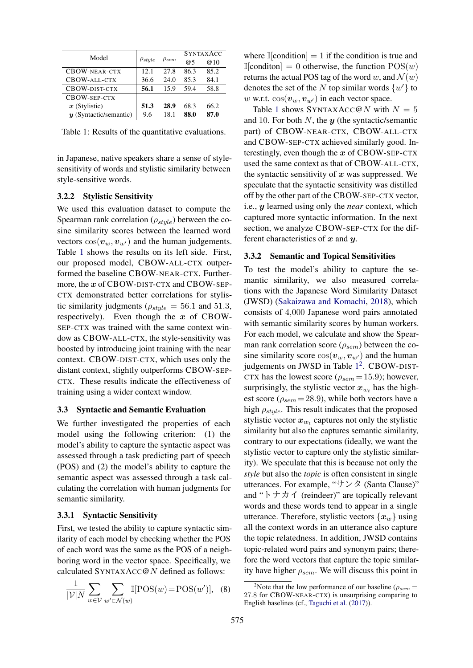| Model                    | $\rho_{style}$ | $\rho_{sem}$ | <b>SYNTAXACC</b> |      |
|--------------------------|----------------|--------------|------------------|------|
|                          |                |              | @5               | @10  |
| CBOW-NEAR-CTX            | 12.1           | 27.8         | 86.3             | 85.2 |
| CBOW-ALL-CTX             | 36.6           | 24.0         | 85.3             | 84.1 |
| CBOW-DIST-CTX            | 56.1           | 15.9         | 59.4             | 58.8 |
| CBOW-SEP-CTX             |                |              |                  |      |
| $x$ (Stylistic)          | 51.3           | 28.9         | 68.3             | 66.2 |
| $y$ (Syntactic/semantic) | 9.6            | 18.1         | 88.0             | 87.0 |

<span id="page-3-0"></span>Table 1: Results of the quantitative evaluations.

in Japanese, native speakers share a sense of stylesensitivity of words and stylistic similarity between style-sensitive words.

#### 3.2.2 Stylistic Sensitivity

We used this evaluation dataset to compute the Spearman rank correlation ( $\rho_{style}$ ) between the cosine similarity scores between the learned word vectors  $cos(v_w, v_{w'})$  and the human judgements. Table [1](#page-3-0) shows the results on its left side. First, our proposed model, CBOW-ALL-CTX outperformed the baseline CBOW-NEAR-CTX. Furthermore, the x of CBOW-DIST-CTX and CBOW-SEP-CTX demonstrated better correlations for stylistic similarity judgments ( $\rho_{style} = 56.1$  and 51.3, respectively). Even though the  $x$  of CBOW-SEP-CTX was trained with the same context window as CBOW-ALL-CTX, the style-sensitivity was boosted by introducing joint training with the near context. CBOW-DIST-CTX, which uses only the distant context, slightly outperforms CBOW-SEP-CTX. These results indicate the effectiveness of training using a wider context window.

#### 3.3 Syntactic and Semantic Evaluation

We further investigated the properties of each model using the following criterion: (1) the model's ability to capture the syntactic aspect was assessed through a task predicting part of speech (POS) and (2) the model's ability to capture the semantic aspect was assessed through a task calculating the correlation with human judgments for semantic similarity.

## 3.3.1 Syntactic Sensitivity

First, we tested the ability to capture syntactic similarity of each model by checking whether the POS of each word was the same as the POS of a neighboring word in the vector space. Specifically, we calculated SYNTAXACC@N defined as follows:

$$
\frac{1}{|\mathcal{V}|N} \sum_{w \in \mathcal{V}} \sum_{w' \in \mathcal{N}(w)} \mathbb{I}[\text{POS}(w) = \text{POS}(w')], \tag{8}
$$

where  $\mathbb{I}[\text{condition}] = 1$  if the condition is true and  $\mathbb{I}[\text{condition}] = 0$  otherwise, the function  $POS(w)$ returns the actual POS tag of the word w, and  $\mathcal{N}(w)$ denotes the set of the N top similar words  $\{w'\}$  to w w.r.t.  $cos(v_w, v_{w'})$  in each vector space.

Table [1](#page-3-0) shows SYNTAXACC@N with  $N = 5$ and 10. For both  $N$ , the  $y$  (the syntactic/semantic part) of CBOW-NEAR-CTX, CBOW-ALL-CTX and CBOW-SEP-CTX achieved similarly good. Interestingly, even though the  $x$  of CBOW-SEP-CTX used the same context as that of CBOW-ALL-CTX, the syntactic sensitivity of  $x$  was suppressed. We speculate that the syntactic sensitivity was distilled off by the other part of the CBOW-SEP-CTX vector, i.e., y learned using only the *near* context, which captured more syntactic information. In the next section, we analyze CBOW-SEP-CTX for the different characteristics of  $x$  and  $y$ .

### 3.3.2 Semantic and Topical Sensitivities

To test the model's ability to capture the semantic similarity, we also measured correlations with the Japanese Word Similarity Dataset (JWSD) [\(Sakaizawa and Komachi,](#page-5-18) [2018\)](#page-5-18), which consists of 4,000 Japanese word pairs annotated with semantic similarity scores by human workers. For each model, we calculate and show the Spearman rank correlation score ( $\rho_{sem}$ ) between the cosine similarity score  $\cos(v_w, v_{w'})$  and the human judgements on JWSD in Table [1](#page-3-0)<sup>[2](#page-3-1)</sup>. CBOW-DIST-CTX has the lowest score ( $\rho_{sem} = 15.9$ ); however, surprisingly, the stylistic vector  $x_{w_t}$  has the highest score ( $\rho_{sem} = 28.9$ ), while both vectors have a high  $\rho_{style}$ . This result indicates that the proposed stylistic vector  $x_{w_t}$  captures not only the stylistic similarity but also the captures semantic similarity, contrary to our expectations (ideally, we want the stylistic vector to capture only the stylistic similarity). We speculate that this is because not only the *style* but also the *topic* is often consistent in single utterances. For example, " $\forall \forall \forall$  (Santa Clause)" and "トナカイ (reindeer)" are topically relevant words and these words tend to appear in a single utterance. Therefore, stylistic vectors  $\{x_w\}$  using all the context words in an utterance also capture the topic relatedness. In addition, JWSD contains topic-related word pairs and synonym pairs; therefore the word vectors that capture the topic similarity have higher  $\rho_{sem}$ . We will discuss this point in

<span id="page-3-1"></span><sup>&</sup>lt;sup>2</sup>Note that the low performance of our baseline ( $\rho_{sem}$  = 27.8 for CBOW-NEAR-CTX) is unsurprising comparing to English baselines (cf., [Taguchi et al.](#page-5-19) [\(2017\)](#page-5-19)).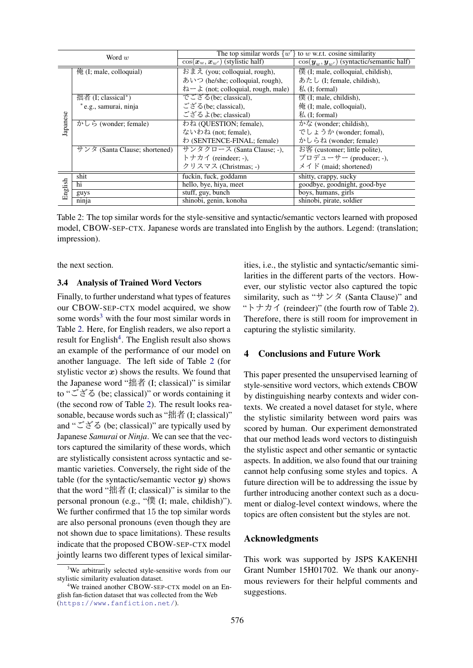| Word $w$ |                                     | The top similar words $\{w'\}$ to w w.r.t. cosine similarity |                                                                   |  |  |
|----------|-------------------------------------|--------------------------------------------------------------|-------------------------------------------------------------------|--|--|
|          |                                     | $\cos(\bm{x}_w, \bm{x}_{w'})$ (stylistic half)               | $\cos(\mathbf{y}_{w}, \mathbf{y}_{w'})$ (syntactic/semantic half) |  |  |
|          | $\frac{4}{1}$ (I; male, colloquial) | おまえ (you; colloquial, rough),                                | 僕 (I; male, colloquial, childish),                                |  |  |
|          |                                     | あいつ (he/she; colloquial, rough),                             | あたし (I; female, childish),                                        |  |  |
| lapanese |                                     | $\lambda - \lambda$ (not; colloquial, rough, male)           | $\frac{1}{k}$ (I; formal)                                         |  |  |
|          | 拙者 $(I; classical^*)$               | でござる(be; classical),                                         | 僕 $(I;$ male, childish $)$ ,                                      |  |  |
|          | * e.g., samurai, ninja              | ござる(be; classical),                                          | $\frac{1}{2}$ (I; male, colloquial),                              |  |  |
|          |                                     | ござるよ(be; classical)                                          | $\frac{1}{k}$ (I; formal)                                         |  |  |
|          | かしら (wonder; female)                | わね (OUESTION; female),                                       | $\overline{\lambda}$ <sup>2</sup> (wonder; childish),             |  |  |
|          |                                     | ないわね (not; female),                                          | でしょうか (wonder; fomal),                                            |  |  |
|          |                                     | わ (SENTENCE-FINAL; female)                                   | かしらね (wonder; female)                                             |  |  |
|          | サンタ (Santa Clause; shortened)       | サンタクロース (Santa Clause; -),                                   | お客 (customer; little polite),                                     |  |  |
|          |                                     | トナカイ (reindeer; -),                                          | プロデューサー (producer; -),                                            |  |  |
|          |                                     | クリスマス (Christmas; -)                                         | $\angle$ $\angle$ $\angle$ $\angle$ (maid; shortened)             |  |  |
| English  | shit                                | fuckin, fuck, goddamn                                        | shitty, crappy, sucky                                             |  |  |
|          | hi                                  | hello, bye, hiya, meet                                       | goodbye, goodnight, good-bye                                      |  |  |
|          | guys                                | stuff, guy, bunch                                            | boys, humans, girls                                               |  |  |
|          | ninja                               | shinobi, genin, konoha                                       | shinobi, pirate, soldier                                          |  |  |

Table 2: The top similar words for the style-sensitive and syntactic/semantic vectors learned with proposed model, CBOW-SEP-CTX. Japanese words are translated into English by the authors. Legend: (translation; impression).

the next section.

#### 3.4 Analysis of Trained Word Vectors

Finally, to further understand what types of features our CBOW-SEP-CTX model acquired, we show some words<sup>[3](#page-4-0)</sup> with the four most similar words in Table [2.](#page-4-1) Here, for English readers, we also report a result for English<sup>[4](#page-4-2)</sup>. The English result also shows an example of the performance of our model on another language. The left side of Table [2](#page-4-1) (for stylistic vector  $x$ ) shows the results. We found that the Japanese word "拙者 (I; classical)" is similar to "ござる (be; classical)" or words containing it (the second row of Table [2\)](#page-4-1). The result looks reasonable, because words such as "拙者 (I; classical)" and " $\check{\subset} \check{\check{\sim}}$ "  $\check{\diamond}$ " (be; classical)" are typically used by Japanese *Samurai* or *Ninja*. We can see that the vectors captured the similarity of these words, which are stylistically consistent across syntactic and semantic varieties. Conversely, the right side of the table (for the syntactic/semantic vector  $y$ ) shows that the word "拙者  $(I; classical)$ " is similar to the personal pronoun (e.g., "僕 (I; male, childish)"). We further confirmed that 15 the top similar words are also personal pronouns (even though they are not shown due to space limitations). These results indicate that the proposed CBOW-SEP-CTX model jointly learns two different types of lexical similar-

<span id="page-4-1"></span>ities, i.e., the stylistic and syntactic/semantic similarities in the different parts of the vectors. However, our stylistic vector also captured the topic similarity, such as " $\forall \forall \forall \forall$  (Santa Clause)" and "トナカイ (reindeer)" (the fourth row of Table [2\)](#page-4-1). Therefore, there is still room for improvement in capturing the stylistic similarity.

## 4 Conclusions and Future Work

This paper presented the unsupervised learning of style-sensitive word vectors, which extends CBOW by distinguishing nearby contexts and wider contexts. We created a novel dataset for style, where the stylistic similarity between word pairs was scored by human. Our experiment demonstrated that our method leads word vectors to distinguish the stylistic aspect and other semantic or syntactic aspects. In addition, we also found that our training cannot help confusing some styles and topics. A future direction will be to addressing the issue by further introducing another context such as a document or dialog-level context windows, where the topics are often consistent but the styles are not.

#### Acknowledgments

This work was supported by JSPS KAKENHI Grant Number 15H01702. We thank our anonymous reviewers for their helpful comments and suggestions.

<span id="page-4-0"></span><sup>&</sup>lt;sup>3</sup>We arbitrarily selected style-sensitive words from our stylistic similarity evaluation dataset.

<span id="page-4-2"></span><sup>4</sup>We trained another CBOW-SEP-CTX model on an English fan-fiction dataset that was collected from the Web (<https://www.fanfiction.net/>).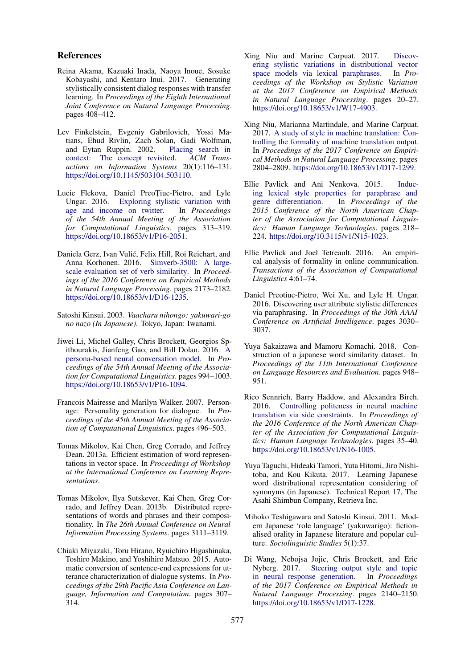### References

- <span id="page-5-11"></span>Reina Akama, Kazuaki Inada, Naoya Inoue, Sosuke Kobayashi, and Kentaro Inui. 2017. Generating stylistically consistent dialog responses with transfer learning. In *Proceedings of the Eighth International Joint Conference on Natural Language Processing*. pages 408–412.
- <span id="page-5-16"></span>Lev Finkelstein, Evgeniy Gabrilovich, Yossi Matians, Ehud Rivlin, Zach Solan, Gadi Wolfman, and Eytan Ruppin. 2002. [Placing search in](https://doi.org/10.1145/503104.503110) [context: The concept revisited.](https://doi.org/10.1145/503104.503110) *ACM Transactions on Information Systems* 20(1):116–131. [https://doi.org/10.1145/503104.503110.](https://doi.org/10.1145/503104.503110)
- <span id="page-5-6"></span>Lucie Flekova, Daniel PreoTiuc-Pietro, and Lyle Ungar. 2016. [Exploring stylistic variation with](https://doi.org/10.18653/v1/P16-2051) [age and income on twitter.](https://doi.org/10.18653/v1/P16-2051) In *Proceedings of the 54th Annual Meeting of the Association for Computational Linguistics*. pages 313–319. [https://doi.org/10.18653/v1/P16-2051.](https://doi.org/10.18653/v1/P16-2051)
- <span id="page-5-17"></span>Daniela Gerz, Ivan Vulic, Felix Hill, Roi Reichart, and ´ Anna Korhonen. 2016. [Simverb-3500: A large](https://doi.org/10.18653/v1/D16-1235)[scale evaluation set of verb similarity.](https://doi.org/10.18653/v1/D16-1235) In *Proceedings of the 2016 Conference on Empirical Methods in Natural Language Processing*. pages 2173–2182. [https://doi.org/10.18653/v1/D16-1235.](https://doi.org/10.18653/v1/D16-1235)
- <span id="page-5-14"></span>Satoshi Kinsui. 2003. *Vaacharu nihongo: yakuwari-go no nazo (In Japanese)*. Tokyo, Japan: Iwanami.
- <span id="page-5-10"></span>Jiwei Li, Michel Galley, Chris Brockett, Georgios Spithourakis, Jianfeng Gao, and Bill Dolan. 2016. [A](https://doi.org/10.18653/v1/P16-1094) [persona-based neural conversation model.](https://doi.org/10.18653/v1/P16-1094) In *Proceedings of the 54th Annual Meeting of the Association for Computational Linguistics*. pages 994–1003. [https://doi.org/10.18653/v1/P16-1094.](https://doi.org/10.18653/v1/P16-1094)
- <span id="page-5-4"></span>Francois Mairesse and Marilyn Walker. 2007. Personage: Personality generation for dialogue. In *Proceedings of the 45th Annual Meeting of the Association of Computational Linguistics*. pages 496–503.
- <span id="page-5-0"></span>Tomas Mikolov, Kai Chen, Greg Corrado, and Jeffrey Dean. 2013a. Efficient estimation of word representations in vector space. In *Proceedings of Workshop at the International Conference on Learning Representations*.
- <span id="page-5-12"></span>Tomas Mikolov, Ilya Sutskever, Kai Chen, Greg Corrado, and Jeffrey Dean. 2013b. Distributed representations of words and phrases and their compositionality. In *The 26th Annual Conference on Neural Information Processing Systems*. pages 3111–3119.
- <span id="page-5-13"></span>Chiaki Miyazaki, Toru Hirano, Ryuichiro Higashinaka, Toshiro Makino, and Yoshihiro Matsuo. 2015. Automatic conversion of sentence-end expressions for utterance characterization of dialogue systems. In *Proceedings of the 29th Pacific Asia Conference on Language, Information and Computation*. pages 307– 314.
- <span id="page-5-2"></span>Xing Niu and Marine Carpuat. 2017. [Discov](https://doi.org/10.18653/v1/W17-4903)[ering stylistic variations in distributional vector](https://doi.org/10.18653/v1/W17-4903) [space models via lexical paraphrases.](https://doi.org/10.18653/v1/W17-4903) In *Proceedings of the Workshop on Stylistic Variation at the 2017 Conference on Empirical Methods in Natural Language Processing*. pages 20–27. [https://doi.org/10.18653/v1/W17-4903.](https://doi.org/10.18653/v1/W17-4903)
- <span id="page-5-9"></span>Xing Niu, Marianna Martindale, and Marine Carpuat. 2017. [A study of style in machine translation: Con](https://doi.org/10.18653/v1/D17-1299)[trolling the formality of machine translation output.](https://doi.org/10.18653/v1/D17-1299) In *Proceedings of the 2017 Conference on Empirical Methods in Natural Language Processing*. pages 2804–2809. [https://doi.org/10.18653/v1/D17-1299.](https://doi.org/10.18653/v1/D17-1299)
- <span id="page-5-5"></span>Ellie Pavlick and Ani Nenkova. 2015. [Induc](https://doi.org/10.3115/v1/N15-1023)[ing lexical style properties for paraphrase and](https://doi.org/10.3115/v1/N15-1023) [genre differentiation.](https://doi.org/10.3115/v1/N15-1023) In *Proceedings of the 2015 Conference of the North American Chapter of the Association for Computational Linguistics: Human Language Technologies*. pages 218– 224. [https://doi.org/10.3115/v1/N15-1023.](https://doi.org/10.3115/v1/N15-1023)
- <span id="page-5-1"></span>Ellie Pavlick and Joel Tetreault. 2016. An empirical analysis of formality in online communication. *Transactions of the Association of Computational Linguistics* 4:61–74.
- <span id="page-5-7"></span>Daniel Preotiuc-Pietro, Wei Xu, and Lyle H. Ungar. 2016. Discovering user attribute stylistic differences via paraphrasing. In *Proceedings of the 30th AAAI Conference on Artificial Intelligence*. pages 3030– 3037.
- <span id="page-5-18"></span>Yuya Sakaizawa and Mamoru Komachi. 2018. Construction of a japanese word similarity dataset. In *Proceedings of the 11th International Conference on Language Resources and Evaluation*. pages 948– 951.
- <span id="page-5-8"></span>Rico Sennrich, Barry Haddow, and Alexandra Birch. 2016. [Controlling politeness in neural machine](https://doi.org/10.18653/v1/N16-1005) [translation via side constraints.](https://doi.org/10.18653/v1/N16-1005) In *Proceedings of the 2016 Conference of the North American Chapter of the Association for Computational Linguistics: Human Language Technologies*. pages 35–40. [https://doi.org/10.18653/v1/N16-1005.](https://doi.org/10.18653/v1/N16-1005)
- <span id="page-5-19"></span>Yuya Taguchi, Hideaki Tamori, Yuta Hitomi, Jiro Nishitoba, and Kou Kikuta. 2017. Learning Japanese word distributional representation considering of synonyms (in Japanese). Technical Report 17, The Asahi Shimbun Company, Retrieva Inc.
- <span id="page-5-15"></span>Mihoko Teshigawara and Satoshi Kinsui. 2011. Modern Japanese 'role language' (yakuwarigo): fictionalised orality in Japanese literature and popular culture. *Sociolinguistic Studies* 5(1):37.
- <span id="page-5-3"></span>Di Wang, Nebojsa Jojic, Chris Brockett, and Eric Nyberg. 2017. [Steering output style and topic](https://doi.org/10.18653/v1/D17-1228) [in neural response generation.](https://doi.org/10.18653/v1/D17-1228) In *Proceedings of the 2017 Conference on Empirical Methods in Natural Language Processing*. pages 2140–2150. [https://doi.org/10.18653/v1/D17-1228.](https://doi.org/10.18653/v1/D17-1228)